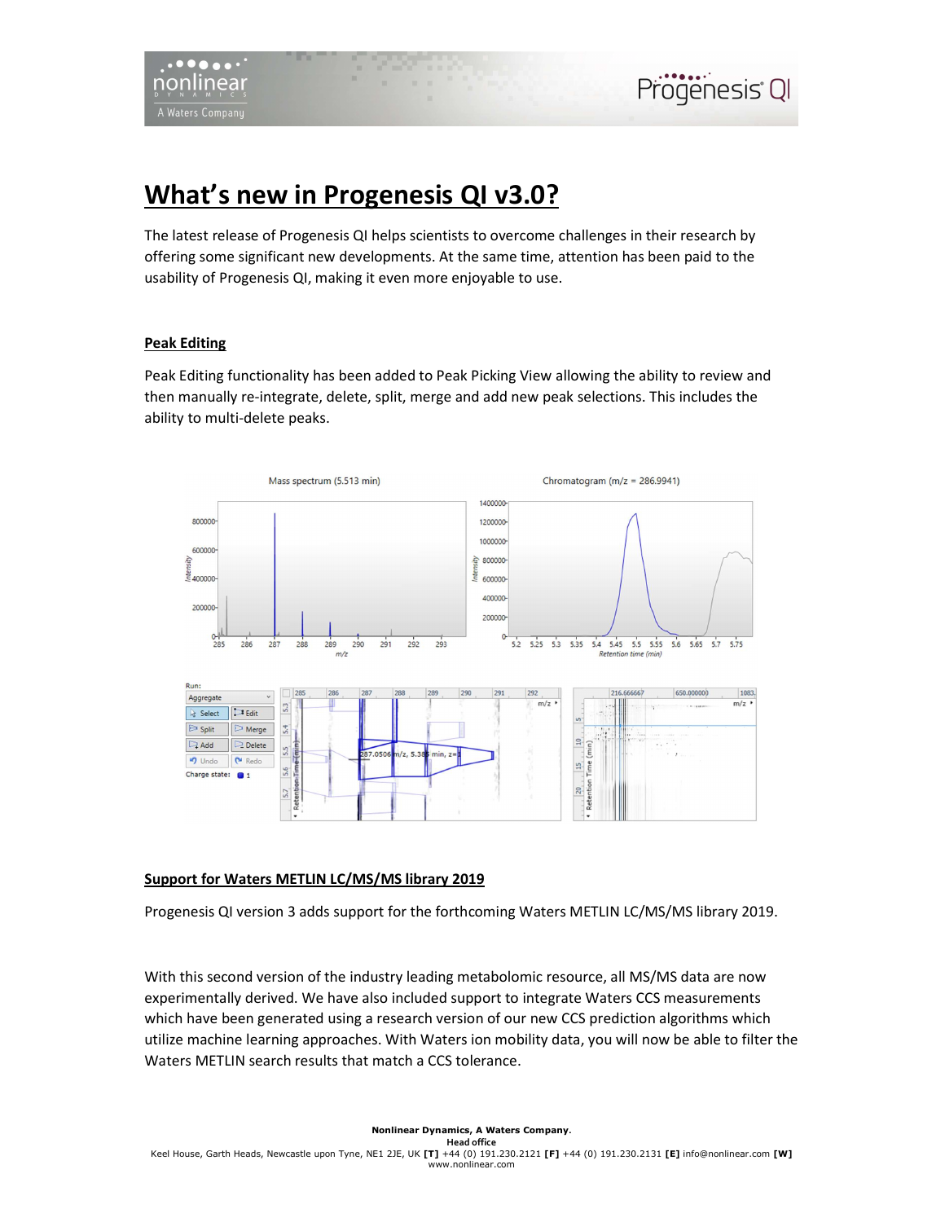# What's new in Progenesis QI v3.0?

The latest release of Progenesis QI helps scientists to overcome challenges in their research by offering some significant new developments. At the same time, attention has been paid to the usability of Progenesis QI, making it even more enjoyable to use.

## Peak Editing

Peak Editing functionality has been added to Peak Picking View allowing the ability to review and then manually re-integrate, delete, split, merge and add new peak selections. This includes the ability to multi-delete peaks.



## Support for Waters METLIN LC/MS/MS library 2019

Progenesis QI version 3 adds support for the forthcoming Waters METLIN LC/MS/MS library 2019.

With this second version of the industry leading metabolomic resource, all MS/MS data are now experimentally derived. We have also included support to integrate Waters CCS measurements which have been generated using a research version of our new CCS prediction algorithms which utilize machine learning approaches. With Waters ion mobility data, you will now be able to filter the Waters METLIN search results that match a CCS tolerance.